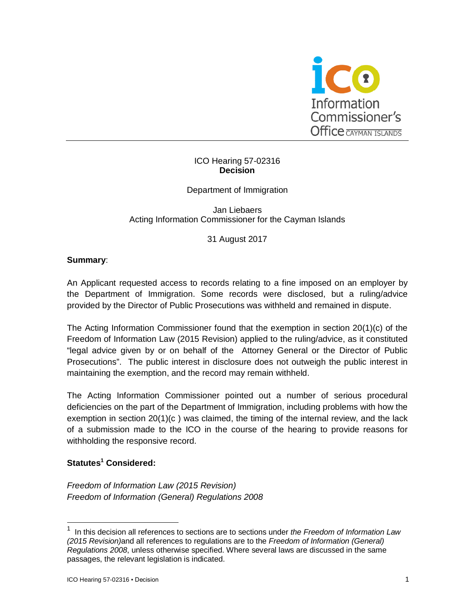

## ICO Hearing 57-02316 **Decision**

# Department of Immigration

Jan Liebaers Acting Information Commissioner for the Cayman Islands

31 August 2017

## **Summary**:

An Applicant requested access to records relating to a fine imposed on an employer by the Department of Immigration. Some records were disclosed, but a ruling/advice provided by the Director of Public Prosecutions was withheld and remained in dispute.

The Acting Information Commissioner found that the exemption in section 20(1)(c) of the Freedom of Information Law (2015 Revision) applied to the ruling/advice, as it constituted "legal advice given by or on behalf of the Attorney General or the Director of Public Prosecutions". The public interest in disclosure does not outweigh the public interest in maintaining the exemption, and the record may remain withheld.

The Acting Information Commissioner pointed out a number of serious procedural deficiencies on the part of the Department of Immigration, including problems with how the exemption in section 20(1)(c ) was claimed, the timing of the internal review, and the lack of a submission made to the ICO in the course of the hearing to provide reasons for withholding the responsive record.

## **Statutes<sup>1</sup> Considered:**

-

*Freedom of Information Law (2015 Revision) Freedom of Information (General) Regulations 2008*

<sup>1</sup> In this decision all references to sections are to sections under *the Freedom of Information Law (2015 Revision)*and all references to regulations are to the *Freedom of Information (General) Regulations 2008*, unless otherwise specified. Where several laws are discussed in the same passages, the relevant legislation is indicated.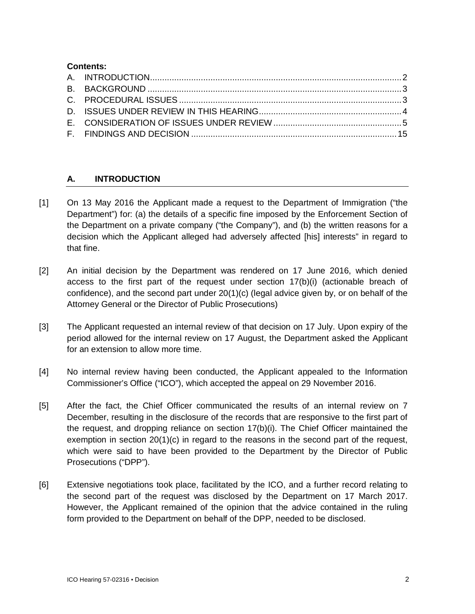# **Contents:**

# **A. INTRODUCTION**

- [1] On 13 May 2016 the Applicant made a request to the Department of Immigration ("the Department") for: (a) the details of a specific fine imposed by the Enforcement Section of the Department on a private company ("the Company"), and (b) the written reasons for a decision which the Applicant alleged had adversely affected [his] interests" in regard to that fine.
- [2] An initial decision by the Department was rendered on 17 June 2016, which denied access to the first part of the request under section 17(b)(i) (actionable breach of confidence), and the second part under 20(1)(c) (legal advice given by, or on behalf of the Attorney General or the Director of Public Prosecutions)
- [3] The Applicant requested an internal review of that decision on 17 July. Upon expiry of the period allowed for the internal review on 17 August, the Department asked the Applicant for an extension to allow more time.
- [4] No internal review having been conducted, the Applicant appealed to the Information Commissioner's Office ("ICO"), which accepted the appeal on 29 November 2016.
- [5] After the fact, the Chief Officer communicated the results of an internal review on 7 December, resulting in the disclosure of the records that are responsive to the first part of the request, and dropping reliance on section 17(b)(i). The Chief Officer maintained the exemption in section  $20(1)(c)$  in regard to the reasons in the second part of the request, which were said to have been provided to the Department by the Director of Public Prosecutions ("DPP").
- [6] Extensive negotiations took place, facilitated by the ICO, and a further record relating to the second part of the request was disclosed by the Department on 17 March 2017. However, the Applicant remained of the opinion that the advice contained in the ruling form provided to the Department on behalf of the DPP, needed to be disclosed.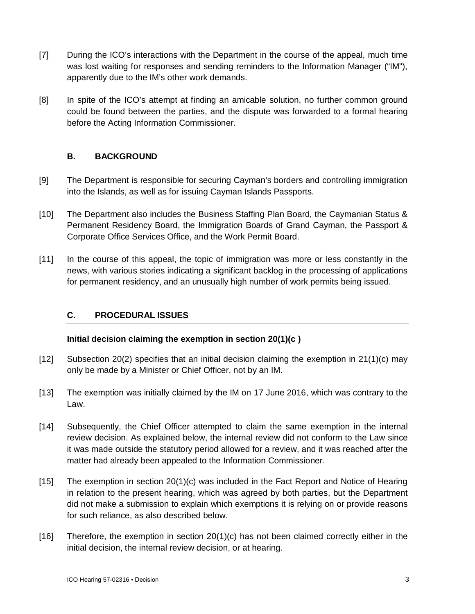- [7] During the ICO's interactions with the Department in the course of the appeal, much time was lost waiting for responses and sending reminders to the Information Manager ("IM"), apparently due to the IM's other work demands.
- [8] In spite of the ICO's attempt at finding an amicable solution, no further common ground could be found between the parties, and the dispute was forwarded to a formal hearing before the Acting Information Commissioner.

# **B. BACKGROUND**

- [9] The Department is responsible for securing Cayman's borders and controlling immigration into the Islands, as well as for issuing Cayman Islands Passports.
- [10] The Department also includes the Business Staffing Plan Board, the Caymanian Status & Permanent Residency Board, the Immigration Boards of Grand Cayman, the Passport & Corporate Office Services Office, and the Work Permit Board.
- [11] In the course of this appeal, the topic of immigration was more or less constantly in the news, with various stories indicating a significant backlog in the processing of applications for permanent residency, and an unusually high number of work permits being issued.

# **C. PROCEDURAL ISSUES**

## **Initial decision claiming the exemption in section 20(1)(c )**

- [12] Subsection 20(2) specifies that an initial decision claiming the exemption in 21(1)(c) may only be made by a Minister or Chief Officer, not by an IM.
- [13] The exemption was initially claimed by the IM on 17 June 2016, which was contrary to the Law.
- [14] Subsequently, the Chief Officer attempted to claim the same exemption in the internal review decision. As explained below, the internal review did not conform to the Law since it was made outside the statutory period allowed for a review, and it was reached after the matter had already been appealed to the Information Commissioner.
- [15] The exemption in section 20(1)(c) was included in the Fact Report and Notice of Hearing in relation to the present hearing, which was agreed by both parties, but the Department did not make a submission to explain which exemptions it is relying on or provide reasons for such reliance, as also described below.
- [16] Therefore, the exemption in section 20(1)(c) has not been claimed correctly either in the initial decision, the internal review decision, or at hearing.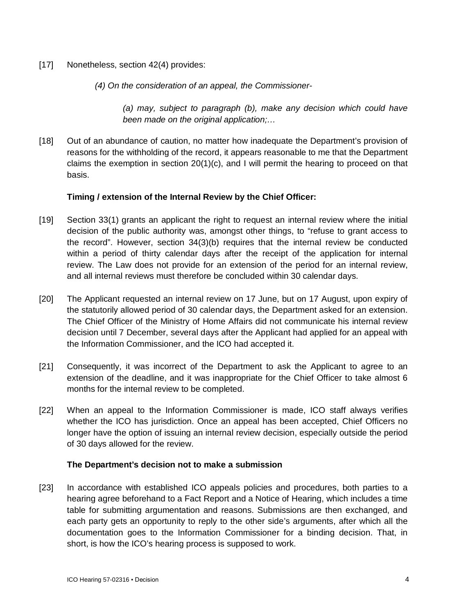- [17] Nonetheless, section 42(4) provides:
	- *(4) On the consideration of an appeal, the Commissioner-*

*(a) may, subject to paragraph (b), make any decision which could have been made on the original application;…*

[18] Out of an abundance of caution, no matter how inadequate the Department's provision of reasons for the withholding of the record, it appears reasonable to me that the Department claims the exemption in section  $20(1)(c)$ , and I will permit the hearing to proceed on that basis.

#### **Timing / extension of the Internal Review by the Chief Officer:**

- [19] Section 33(1) grants an applicant the right to request an internal review where the initial decision of the public authority was, amongst other things, to "refuse to grant access to the record". However, section 34(3)(b) requires that the internal review be conducted within a period of thirty calendar days after the receipt of the application for internal review. The Law does not provide for an extension of the period for an internal review, and all internal reviews must therefore be concluded within 30 calendar days.
- [20] The Applicant requested an internal review on 17 June, but on 17 August, upon expiry of the statutorily allowed period of 30 calendar days, the Department asked for an extension. The Chief Officer of the Ministry of Home Affairs did not communicate his internal review decision until 7 December, several days after the Applicant had applied for an appeal with the Information Commissioner, and the ICO had accepted it.
- [21] Consequently, it was incorrect of the Department to ask the Applicant to agree to an extension of the deadline, and it was inappropriate for the Chief Officer to take almost 6 months for the internal review to be completed.
- [22] When an appeal to the Information Commissioner is made, ICO staff always verifies whether the ICO has jurisdiction. Once an appeal has been accepted, Chief Officers no longer have the option of issuing an internal review decision, especially outside the period of 30 days allowed for the review.

#### **The Department's decision not to make a submission**

[23] In accordance with established ICO appeals policies and procedures, both parties to a hearing agree beforehand to a Fact Report and a Notice of Hearing, which includes a time table for submitting argumentation and reasons. Submissions are then exchanged, and each party gets an opportunity to reply to the other side's arguments, after which all the documentation goes to the Information Commissioner for a binding decision. That, in short, is how the ICO's hearing process is supposed to work.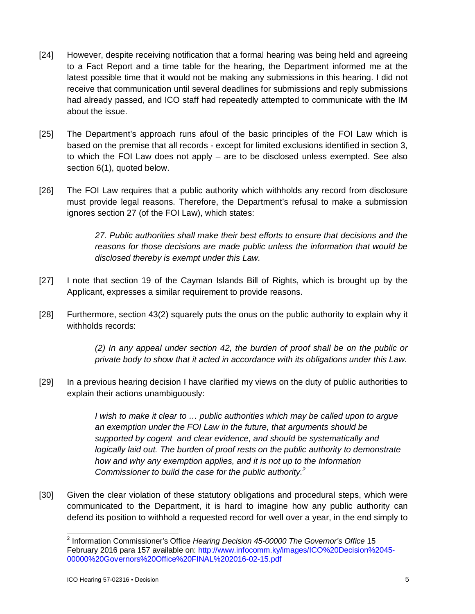- [24] However, despite receiving notification that a formal hearing was being held and agreeing to a Fact Report and a time table for the hearing, the Department informed me at the latest possible time that it would not be making any submissions in this hearing. I did not receive that communication until several deadlines for submissions and reply submissions had already passed, and ICO staff had repeatedly attempted to communicate with the IM about the issue.
- [25] The Department's approach runs afoul of the basic principles of the FOI Law which is based on the premise that all records - except for limited exclusions identified in section 3, to which the FOI Law does not apply – are to be disclosed unless exempted. See also section 6(1), quoted below.
- [26] The FOI Law requires that a public authority which withholds any record from disclosure must provide legal reasons. Therefore, the Department's refusal to make a submission ignores section 27 (of the FOI Law), which states:

*27. Public authorities shall make their best efforts to ensure that decisions and the reasons for those decisions are made public unless the information that would be disclosed thereby is exempt under this Law.*

- [27] I note that section 19 of the Cayman Islands Bill of Rights, which is brought up by the Applicant, expresses a similar requirement to provide reasons.
- [28] Furthermore, section 43(2) squarely puts the onus on the public authority to explain why it withholds records:

*(2) In any appeal under section 42, the burden of proof shall be on the public or private body to show that it acted in accordance with its obligations under this Law.*

[29] In a previous hearing decision I have clarified my views on the duty of public authorities to explain their actions unambiguously:

> *I* wish to make it clear to ... public authorities which may be called upon to argue *an exemption under the FOI Law in the future, that arguments should be supported by cogent and clear evidence, and should be systematically and logically laid out. The burden of proof rests on the public authority to demonstrate how and why any exemption applies, and it is not up to the Information Commissioner to build the case for the public authority.<sup>2</sup>*

[30] Given the clear violation of these statutory obligations and procedural steps, which were communicated to the Department, it is hard to imagine how any public authority can defend its position to withhold a requested record for well over a year, in the end simply to

 $\overline{a}$ 2 Information Commissioner's Office *Hearing Decision 45-00000 The Governor's Office* 15 February 2016 para 157 available on: <http://www.infocomm.ky/images/ICO%20Decision%2045-> 00000%20Governors%20Office%20FINAL%202016-02-15.pdf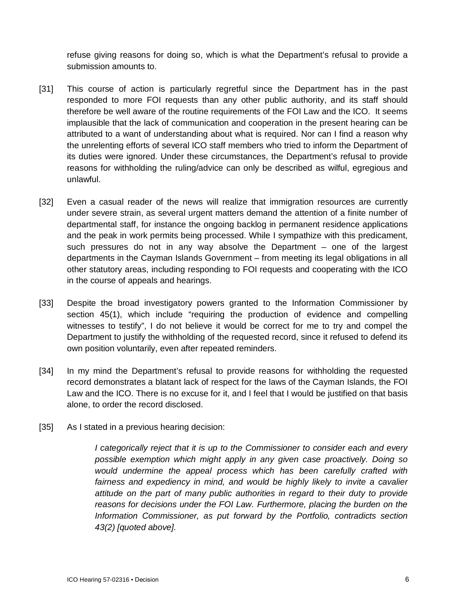refuse giving reasons for doing so, which is what the Department's refusal to provide a submission amounts to.

- [31] This course of action is particularly regretful since the Department has in the past responded to more FOI requests than any other public authority, and its staff should therefore be well aware of the routine requirements of the FOI Law and the ICO. It seems implausible that the lack of communication and cooperation in the present hearing can be attributed to a want of understanding about what is required. Nor can I find a reason why the unrelenting efforts of several ICO staff members who tried to inform the Department of its duties were ignored. Under these circumstances, the Department's refusal to provide reasons for withholding the ruling/advice can only be described as wilful, egregious and unlawful.
- [32] Even a casual reader of the news will realize that immigration resources are currently under severe strain, as several urgent matters demand the attention of a finite number of departmental staff, for instance the ongoing backlog in permanent residence applications and the peak in work permits being processed. While I sympathize with this predicament, such pressures do not in any way absolve the Department – one of the largest departments in the Cayman Islands Government – from meeting its legal obligations in all other statutory areas, including responding to FOI requests and cooperating with the ICO in the course of appeals and hearings.
- [33] Despite the broad investigatory powers granted to the Information Commissioner by section 45(1), which include "requiring the production of evidence and compelling witnesses to testify", I do not believe it would be correct for me to try and compel the Department to justify the withholding of the requested record, since it refused to defend its own position voluntarily, even after repeated reminders.
- [34] In my mind the Department's refusal to provide reasons for withholding the requested record demonstrates a blatant lack of respect for the laws of the Cayman Islands, the FOI Law and the ICO. There is no excuse for it, and I feel that I would be justified on that basis alone, to order the record disclosed.
- [35] As I stated in a previous hearing decision:

*I categorically reject that it is up to the Commissioner to consider each and every possible exemption which might apply in any given case proactively. Doing so would undermine the appeal process which has been carefully crafted with*  fairness and expediency in mind, and would be highly likely to invite a cavalier *attitude on the part of many public authorities in regard to their duty to provide reasons for decisions under the FOI Law. Furthermore, placing the burden on the Information Commissioner, as put forward by the Portfolio, contradicts section 43(2) [quoted above].*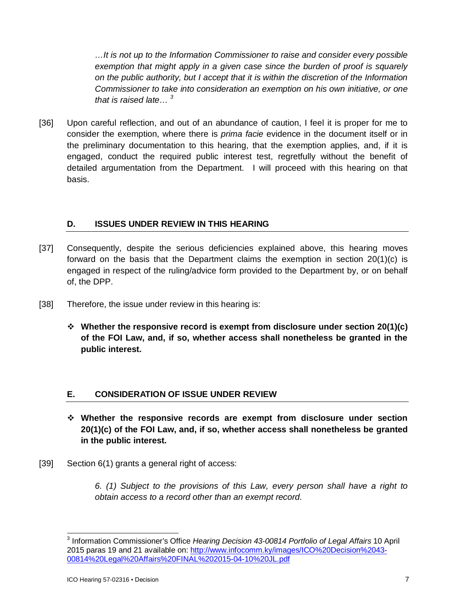*…It is not up to the Information Commissioner to raise and consider every possible exemption that might apply in a given case since the burden of proof is squarely on the public authority, but I accept that it is within the discretion of the Information Commissioner to take into consideration an exemption on his own initiative, or one that is raised late… <sup>3</sup>*

[36] Upon careful reflection, and out of an abundance of caution, I feel it is proper for me to consider the exemption, where there is *prima facie* evidence in the document itself or in the preliminary documentation to this hearing, that the exemption applies, and, if it is engaged, conduct the required public interest test, regretfully without the benefit of detailed argumentation from the Department. I will proceed with this hearing on that basis.

# **D. ISSUES UNDER REVIEW IN THIS HEARING**

- [37] Consequently, despite the serious deficiencies explained above, this hearing moves forward on the basis that the Department claims the exemption in section  $20(1)(c)$  is engaged in respect of the ruling/advice form provided to the Department by, or on behalf of, the DPP.
- [38] Therefore, the issue under review in this hearing is:
	- **Whether the responsive record is exempt from disclosure under section 20(1)(c) of the FOI Law, and, if so, whether access shall nonetheless be granted in the public interest.**

## **E. CONSIDERATION OF ISSUE UNDER REVIEW**

- **Whether the responsive records are exempt from disclosure under section 20(1)(c) of the FOI Law, and, if so, whether access shall nonetheless be granted in the public interest.**
- [39] Section 6(1) grants a general right of access:

*6. (1) Subject to the provisions of this Law, every person shall have a right to obtain access to a record other than an exempt record.*

 $\overline{a}$ 3 Information Commissioner's Office *Hearing Decision 43-00814 Portfolio of Legal Affairs* 10 April 2015 paras 19 and 21 available on: <http://www.infocomm.ky/images/ICO%20Decision%2043-> 00814%20Legal%20Affairs%20FINAL%202015-04-10%20JL.pdf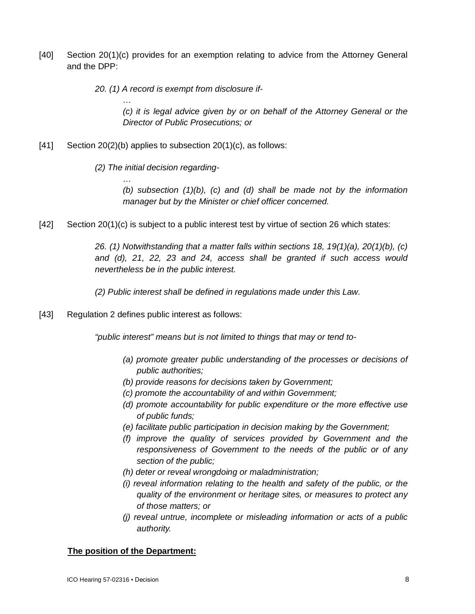[40] Section 20(1)(c) provides for an exemption relating to advice from the Attorney General and the DPP:

*20. (1) A record is exempt from disclosure if-*

*(c) it is legal advice given by or on behalf of the Attorney General or the Director of Public Prosecutions; or*

- $[41]$  Section 20(2)(b) applies to subsection 20(1)(c), as follows:
	- *(2) The initial decision regarding-*

*…*

*…*

*(b) subsection (1)(b), (c) and (d) shall be made not by the information manager but by the Minister or chief officer concerned.*

[42] Section 20(1)(c) is subject to a public interest test by virtue of section 26 which states:

*26. (1) Notwithstanding that a matter falls within sections 18, 19(1)(a), 20(1)(b), (c) and (d), 21, 22, 23 and 24, access shall be granted if such access would nevertheless be in the public interest.*

*(2) Public interest shall be defined in regulations made under this Law.*

[43] Regulation 2 defines public interest as follows:

*"public interest" means but is not limited to things that may or tend to-*

- *(a) promote greater public understanding of the processes or decisions of public authorities;*
- *(b) provide reasons for decisions taken by Government;*
- *(c) promote the accountability of and within Government;*
- *(d) promote accountability for public expenditure or the more effective use of public funds;*
- *(e) facilitate public participation in decision making by the Government;*
- *(f) improve the quality of services provided by Government and the responsiveness of Government to the needs of the public or of any section of the public;*
- *(h) deter or reveal wrongdoing or maladministration;*
- *(i) reveal information relating to the health and safety of the public, or the quality of the environment or heritage sites, or measures to protect any of those matters; or*
- *(j) reveal untrue, incomplete or misleading information or acts of a public authority.*

#### **The position of the Department:**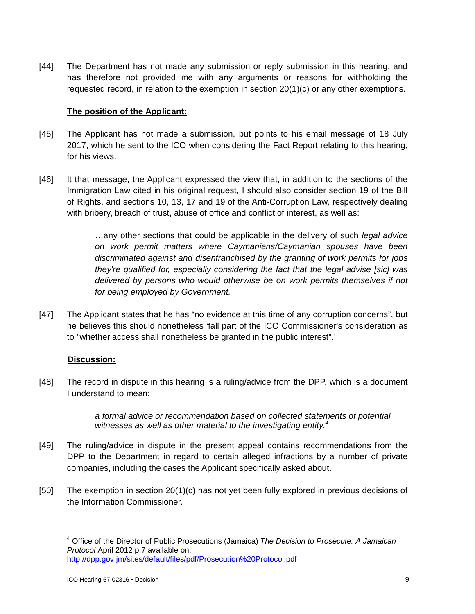[44] The Department has not made any submission or reply submission in this hearing, and has therefore not provided me with any arguments or reasons for withholding the requested record, in relation to the exemption in section 20(1)(c) or any other exemptions.

## **The position of the Applicant:**

- [45] The Applicant has not made a submission, but points to his email message of 18 July 2017, which he sent to the ICO when considering the Fact Report relating to this hearing, for his views.
- [46] It that message, the Applicant expressed the view that, in addition to the sections of the Immigration Law cited in his original request, I should also consider section 19 of the Bill of Rights, and sections 10, 13, 17 and 19 of the Anti-Corruption Law, respectively dealing with bribery, breach of trust, abuse of office and conflict of interest, as well as:

…any other sections that could be applicable in the delivery of such *legal advice on work permit matters where Caymanians/Caymanian spouses have been discriminated against and disenfranchised by the granting of work permits for jobs they're qualified for, especially considering the fact that the legal advise [sic] was delivered by persons who would otherwise be on work permits themselves if not for being employed by Government.*

[47] The Applicant states that he has "no evidence at this time of any corruption concerns", but he believes this should nonetheless 'fall part of the ICO Commissioner's consideration as to "whether access shall nonetheless be granted in the public interest".'

## **Discussion:**

[48] The record in dispute in this hearing is a ruling/advice from the DPP, which is a document I understand to mean:

> *a formal advice or recommendation based on collected statements of potential witnesses as well as other material to the investigating entity.<sup>4</sup>*

- [49] The ruling/advice in dispute in the present appeal contains recommendations from the DPP to the Department in regard to certain alleged infractions by a number of private companies, including the cases the Applicant specifically asked about.
- [50] The exemption in section 20(1)(c) has not yet been fully explored in previous decisions of the Information Commissioner.

 $\overline{\phantom{a}}$ <sup>4</sup> Office of the Director of Public Prosecutions (Jamaica) *The Decision to Prosecute: A Jamaican Protocol* April 2012 p.7 available on: <http://dpp.gov.jm/sites/default/files/pdf/Prosecution%20Protocol.pdf>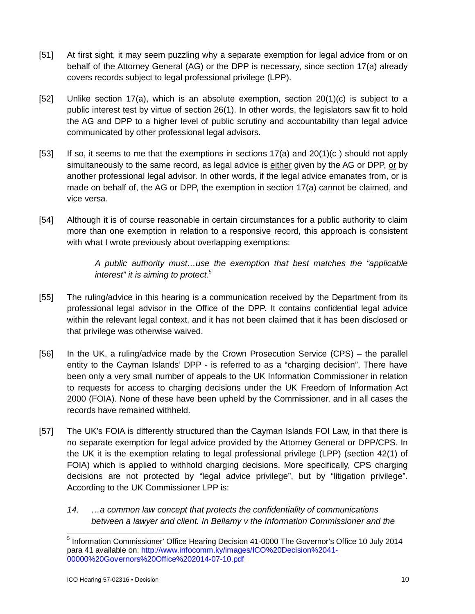- [51] At first sight, it may seem puzzling why a separate exemption for legal advice from or on behalf of the Attorney General (AG) or the DPP is necessary, since section 17(a) already covers records subject to legal professional privilege (LPP).
- [52] Unlike section 17(a), which is an absolute exemption, section  $20(1)(c)$  is subject to a public interest test by virtue of section 26(1). In other words, the legislators saw fit to hold the AG and DPP to a higher level of public scrutiny and accountability than legal advice communicated by other professional legal advisors.
- [53] If so, it seems to me that the exemptions in sections  $17(a)$  and  $20(1)(c)$  should not apply simultaneously to the same record, as legal advice is either given by the AG or DPP, or by another professional legal advisor. In other words, if the legal advice emanates from, or is made on behalf of, the AG or DPP, the exemption in section 17(a) cannot be claimed, and vice versa.
- [54] Although it is of course reasonable in certain circumstances for a public authority to claim more than one exemption in relation to a responsive record, this approach is consistent with what I wrote previously about overlapping exemptions:

*A public authority must…use the exemption that best matches the "applicable interest" it is aiming to protect.<sup>5</sup>*

- [55] The ruling/advice in this hearing is a communication received by the Department from its professional legal advisor in the Office of the DPP. It contains confidential legal advice within the relevant legal context, and it has not been claimed that it has been disclosed or that privilege was otherwise waived.
- [56] In the UK, a ruling/advice made by the Crown Prosecution Service (CPS) the parallel entity to the Cayman Islands' DPP - is referred to as a "charging decision". There have been only a very small number of appeals to the UK Information Commissioner in relation to requests for access to charging decisions under the UK Freedom of Information Act 2000 (FOIA). None of these have been upheld by the Commissioner, and in all cases the records have remained withheld.
- [57] The UK's FOIA is differently structured than the Cayman Islands FOI Law, in that there is no separate exemption for legal advice provided by the Attorney General or DPP/CPS. In the UK it is the exemption relating to legal professional privilege (LPP) (section 42(1) of FOIA) which is applied to withhold charging decisions. More specifically, CPS charging decisions are not protected by "legal advice privilege", but by "litigation privilege". According to the UK Commissioner LPP is:
	- *14. …a common law concept that protects the confidentiality of communications between a lawyer and client. In Bellamy v the Information Commissioner and the*

<sup>-</sup><sup>5</sup> Information Commissioner' Office Hearing Decision 41-0000 The Governor's Office 10 July 2014 para 41 available on:<http://www.infocomm.ky/images/ICO%20Decision%2041-> 00000%20Governors%20Office%202014-07-10.pdf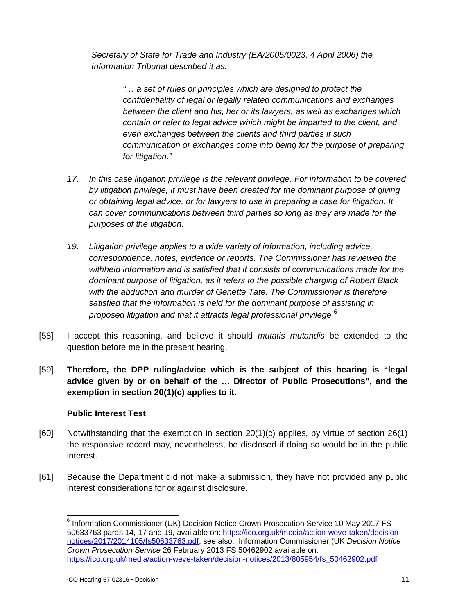*Secretary of State for Trade and Industry (EA/2005/0023, 4 April 2006) the Information Tribunal described it as:* 

> *"… a set of rules or principles which are designed to protect the confidentiality of legal or legally related communications and exchanges between the client and his, her or its lawyers, as well as exchanges which contain or refer to legal advice which might be imparted to the client, and even exchanges between the clients and third parties if such communication or exchanges come into being for the purpose of preparing for litigation."*

- *17. In this case litigation privilege is the relevant privilege. For information to be covered by litigation privilege, it must have been created for the dominant purpose of giving or obtaining legal advice, or for lawyers to use in preparing a case for litigation. It can cover communications between third parties so long as they are made for the purposes of the litigation.*
- *19. Litigation privilege applies to a wide variety of information, including advice, correspondence, notes, evidence or reports. The Commissioner has reviewed the withheld information and is satisfied that it consists of communications made for the dominant purpose of litigation, as it refers to the possible charging of Robert Black with the abduction and murder of Genette Tate. The Commissioner is therefore satisfied that the information is held for the dominant purpose of assisting in proposed litigation and that it attracts legal professional privilege.<sup>6</sup>*
- [58] I accept this reasoning, and believe it should *mutatis mutandis* be extended to the question before me in the present hearing.
- [59] **Therefore, the DPP ruling/advice which is the subject of this hearing is "legal advice given by or on behalf of the … Director of Public Prosecutions", and the exemption in section 20(1)(c) applies to it.**

## **Public Interest Test**

- [60] Notwithstanding that the exemption in section 20(1)(c) applies, by virtue of section 26(1) the responsive record may, nevertheless, be disclosed if doing so would be in the public interest.
- [61] Because the Department did not make a submission, they have not provided any public interest considerations for or against disclosure.

 $\overline{a}$ 6 Information Commissioner (UK) Decision Notice Crown Prosecution Service 10 May 2017 FS 50633763 paras 14, 17 and 19, available on: [https://ico.org.uk/media/action-weve-taken/decision](https://ico.org.uk/media/action-weve-taken/decision-)notices/2017/2014105/fs50633763.pdf; see also: Information Commissioner (UK *Decision Notice Crown Prosecution Service* 26 February 2013 FS 50462902 available on: [https://ico.org.uk/media/action-weve-taken/decision-notices/2013/805954/fs\\_50462902.pdf](https://ico.org.uk/media/action-weve-taken/decision-notices/2013/805954/fs_50462902.pdf)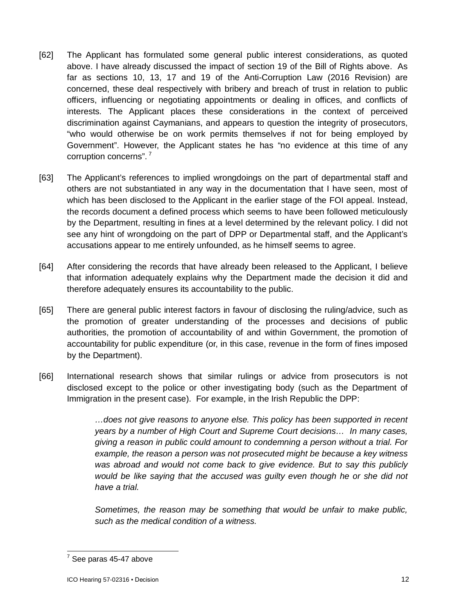- [62] The Applicant has formulated some general public interest considerations, as quoted above. I have already discussed the impact of section 19 of the Bill of Rights above. As far as sections 10, 13, 17 and 19 of the Anti-Corruption Law (2016 Revision) are concerned, these deal respectively with bribery and breach of trust in relation to public officers, influencing or negotiating appointments or dealing in offices, and conflicts of interests. The Applicant places these considerations in the context of perceived discrimination against Caymanians, and appears to question the integrity of prosecutors, "who would otherwise be on work permits themselves if not for being employed by Government". However, the Applicant states he has "no evidence at this time of any corruption concerns". <sup>7</sup>
- [63] The Applicant's references to implied wrongdoings on the part of departmental staff and others are not substantiated in any way in the documentation that I have seen, most of which has been disclosed to the Applicant in the earlier stage of the FOI appeal. Instead, the records document a defined process which seems to have been followed meticulously by the Department, resulting in fines at a level determined by the relevant policy. I did not see any hint of wrongdoing on the part of DPP or Departmental staff, and the Applicant's accusations appear to me entirely unfounded, as he himself seems to agree.
- [64] After considering the records that have already been released to the Applicant, I believe that information adequately explains why the Department made the decision it did and therefore adequately ensures its accountability to the public.
- [65] There are general public interest factors in favour of disclosing the ruling/advice, such as the promotion of greater understanding of the processes and decisions of public authorities, the promotion of accountability of and within Government, the promotion of accountability for public expenditure (or, in this case, revenue in the form of fines imposed by the Department).
- [66] International research shows that similar rulings or advice from prosecutors is not disclosed except to the police or other investigating body (such as the Department of Immigration in the present case). For example, in the Irish Republic the DPP:

*…does not give reasons to anyone else. This policy has been supported in recent years by a number of High Court and Supreme Court decisions… In many cases, giving a reason in public could amount to condemning a person without a trial. For example, the reason a person was not prosecuted might be because a key witness was abroad and would not come back to give evidence. But to say this publicly would be like saying that the accused was guilty even though he or she did not have a trial.*

*Sometimes, the reason may be something that would be unfair to make public, such as the medical condition of a witness.*

 $\overline{a}$  $7$  See paras 45-47 above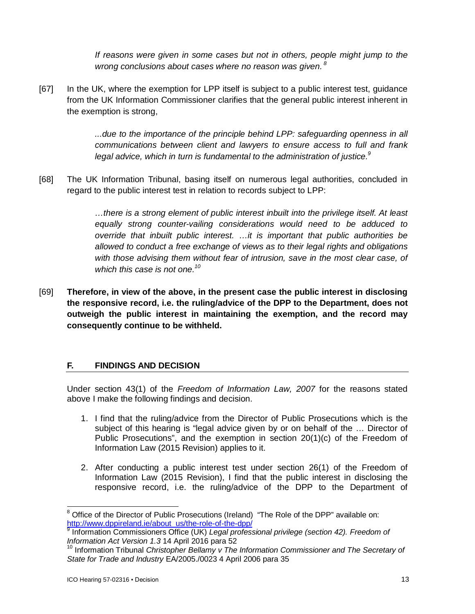*If reasons were given in some cases but not in others, people might jump to the wrong conclusions about cases where no reason was given. <sup>8</sup>*

[67] In the UK, where the exemption for LPP itself is subject to a public interest test, guidance from the UK Information Commissioner clarifies that the general public interest inherent in the exemption is strong,

> *...due to the importance of the principle behind LPP: safeguarding openness in all communications between client and lawyers to ensure access to full and frank legal advice, which in turn is fundamental to the administration of justice.<sup>9</sup>*

[68] The UK Information Tribunal, basing itself on numerous legal authorities, concluded in regard to the public interest test in relation to records subject to LPP:

> *…there is a strong element of public interest inbuilt into the privilege itself. At least equally strong counter-vailing considerations would need to be adduced to override that inbuilt public interest. …it is important that public authorities be allowed to conduct a free exchange of views as to their legal rights and obligations with those advising them without fear of intrusion, save in the most clear case, of which this case is not one.<sup>10</sup>*

[69] **Therefore, in view of the above, in the present case the public interest in disclosing the responsive record, i.e. the ruling/advice of the DPP to the Department, does not outweigh the public interest in maintaining the exemption, and the record may consequently continue to be withheld.** 

## **F. FINDINGS AND DECISION**

Under section 43(1) of the *Freedom of Information Law, 2007* for the reasons stated above I make the following findings and decision.

- 1. I find that the ruling/advice from the Director of Public Prosecutions which is the subject of this hearing is "legal advice given by or on behalf of the … Director of Public Prosecutions", and the exemption in section 20(1)(c) of the Freedom of Information Law (2015 Revision) applies to it.
- 2. After conducting a public interest test under section 26(1) of the Freedom of Information Law (2015 Revision), I find that the public interest in disclosing the responsive record, i.e. the ruling/advice of the DPP to the Department of

 $\overline{a}$ 

Office of the Director of Public Prosecutions (Ireland) "The Role of the DPP" available on: [http://www.dppireland.ie/about\\_us/the-role-of-the-dpp/](http://www.dppireland.ie/about_us/the-role-of-the-dpp/)

<sup>9</sup> Information Commissioners Office (UK) *Legal professional privilege (section 42). Freedom of Information Act Version 1.3* 14 April 2016 para 52

<sup>&</sup>lt;sup>10</sup> Information Tribunal *Christopher Bellamy v The Information Commissioner and The Secretary of State for Trade and Industry* EA/2005./0023 4 April 2006 para 35